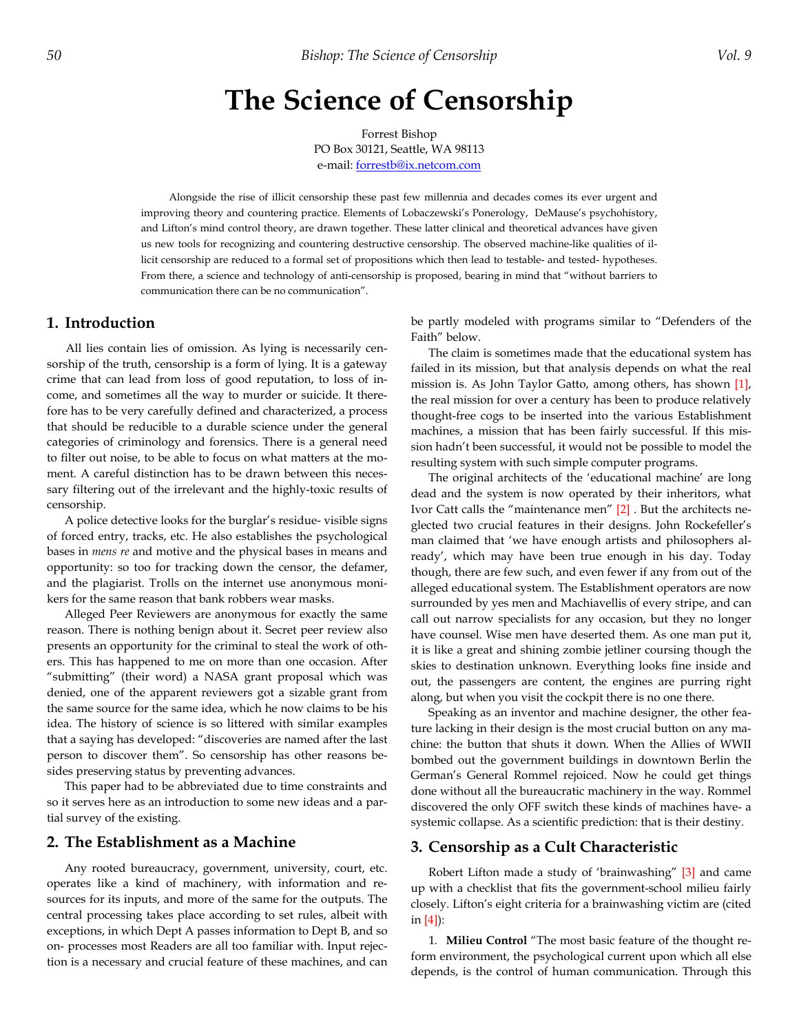# **The Science of Censorship**

Forrest Bishop PO Box 30121, Seattle, WA 98113 e-mail: forrestb@ix.netcom.com

Alongside the rise of illicit censorship these past few millennia and decades comes its ever urgent and improving theory and countering practice. Elements of Lobaczewski's Ponerology, DeMause's psychohistory, and Lifton's mind control theory, are drawn together. These latter clinical and theoretical advances have given us new tools for recognizing and countering destructive censorship. The observed machine-like qualities of illicit censorship are reduced to a formal set of propositions which then lead to testable- and tested- hypotheses. From there, a science and technology of anti-censorship is proposed, bearing in mind that "without barriers to communication there can be no communication".

# **1. Introduction**

All lies contain lies of omission. As lying is necessarily censorship of the truth, censorship is a form of lying. It is a gateway crime that can lead from loss of good reputation, to loss of income, and sometimes all the way to murder or suicide. It therefore has to be very carefully defined and characterized, a process that should be reducible to a durable science under the general categories of criminology and forensics. There is a general need to filter out noise, to be able to focus on what matters at the moment. A careful distinction has to be drawn between this necessary filtering out of the irrelevant and the highly-toxic results of censorship.

A police detective looks for the burglar's residue- visible signs of forced entry, tracks, etc. He also establishes the psychological bases in *mens re* and motive and the physical bases in means and opportunity: so too for tracking down the censor, the defamer, and the plagiarist. Trolls on the internet use anonymous monikers for the same reason that bank robbers wear masks.

Alleged Peer Reviewers are anonymous for exactly the same reason. There is nothing benign about it. Secret peer review also presents an opportunity for the criminal to steal the work of others. This has happened to me on more than one occasion. After "submitting" (their word) a NASA grant proposal which was denied, one of the apparent reviewers got a sizable grant from the same source for the same idea, which he now claims to be his idea. The history of science is so littered with similar examples that a saying has developed: "discoveries are named after the last person to discover them". So censorship has other reasons besides preserving status by preventing advances.

This paper had to be abbreviated due to time constraints and so it serves here as an introduction to some new ideas and a partial survey of the existing.

#### **2. The Establishment as a Machine**

Any rooted bureaucracy, government, university, court, etc. operates like a kind of machinery, with information and resources for its inputs, and more of the same for the outputs. The central processing takes place according to set rules, albeit with exceptions, in which Dept A passes information to Dept B, and so on- processes most Readers are all too familiar with. Input rejection is a necessary and crucial feature of these machines, and can be partly modeled with programs similar to "Defenders of the Faith" below.

The claim is sometimes made that the educational system has failed in its mission, but that analysis depends on what the real mission is. As John Taylor Gatto, among others, has shown [1], the real mission for over a century has been to produce relatively thought-free cogs to be inserted into the various Establishment machines, a mission that has been fairly successful. If this mission hadn't been successful, it would not be possible to model the resulting system with such simple computer programs.

The original architects of the 'educational machine' are long dead and the system is now operated by their inheritors, what Ivor Catt calls the "maintenance men" [2] . But the architects neglected two crucial features in their designs. John Rockefeller's man claimed that 'we have enough artists and philosophers already', which may have been true enough in his day. Today though, there are few such, and even fewer if any from out of the alleged educational system. The Establishment operators are now surrounded by yes men and Machiavellis of every stripe, and can call out narrow specialists for any occasion, but they no longer have counsel. Wise men have deserted them. As one man put it, it is like a great and shining zombie jetliner coursing though the skies to destination unknown. Everything looks fine inside and out, the passengers are content, the engines are purring right along, but when you visit the cockpit there is no one there.

Speaking as an inventor and machine designer, the other feature lacking in their design is the most crucial button on any machine: the button that shuts it down. When the Allies of WWII bombed out the government buildings in downtown Berlin the German's General Rommel rejoiced. Now he could get things done without all the bureaucratic machinery in the way. Rommel discovered the only OFF switch these kinds of machines have- a systemic collapse. As a scientific prediction: that is their destiny.

## **3. Censorship as a Cult Characteristic**

Robert Lifton made a study of 'brainwashing" [3] and came up with a checklist that fits the government-school milieu fairly closely. Lifton's eight criteria for a brainwashing victim are (cited in [4]):

1. **Milieu Control** "The most basic feature of the thought reform environment, the psychological current upon which all else depends, is the control of human communication. Through this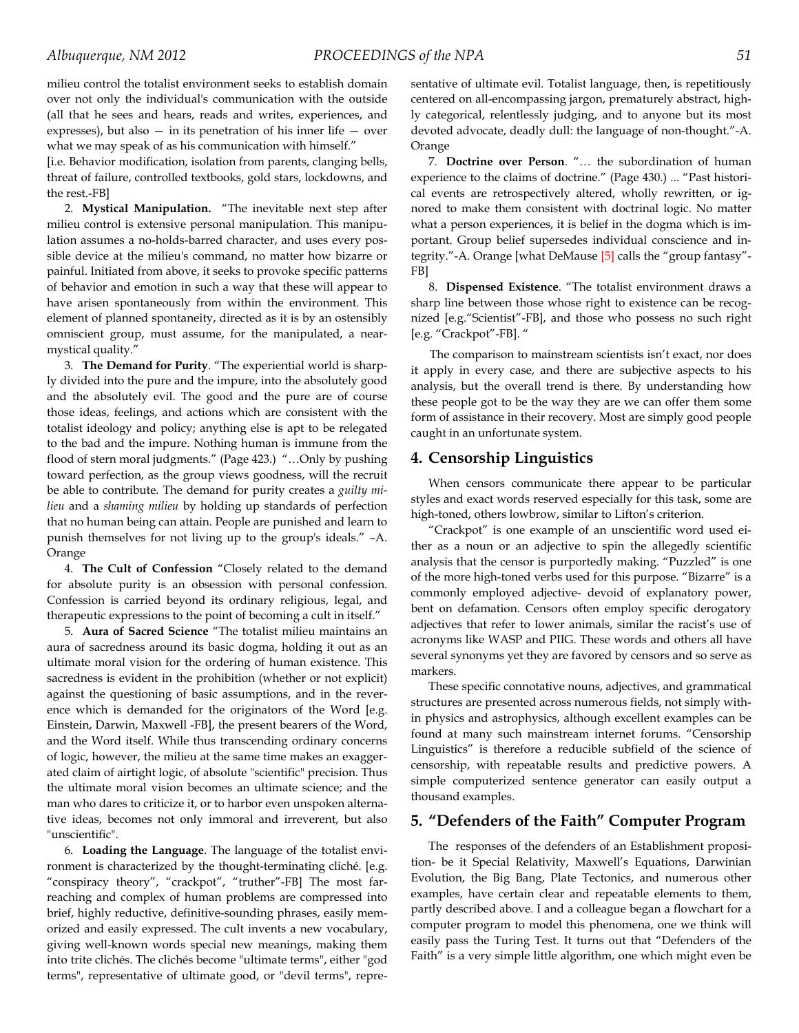milieu control the totalist environment seeks to establish domain over not only the individual's communication with the outside (all that he sees and hears, reads and writes, experiences, and expresses), but also  $-$  in its penetration of his inner life  $-$  over what we may speak of as his communication with himself."

[i.e. Behavior modification, isolation from parents, clanging bells, threat of failure, controlled textbooks, gold stars, lockdowns, and the rest.-FB]

2. **Mystical Manipulation.** "The inevitable next step after milieu control is extensive personal manipulation. This manipulation assumes a no-holds-barred character, and uses every possible device at the milieu's command, no matter how bizarre or painful. Initiated from above, it seeks to provoke specific patterns of behavior and emotion in such a way that these will appear to have arisen spontaneously from within the environment. This element of planned spontaneity, directed as it is by an ostensibly omniscient group, must assume, for the manipulated, a nearmystical quality."

3. **The Demand for Purity**. "The experiential world is sharply divided into the pure and the impure, into the absolutely good and the absolutely evil. The good and the pure are of course those ideas, feelings, and actions which are consistent with the totalist ideology and policy; anything else is apt to be relegated to the bad and the impure. Nothing human is immune from the flood of stern moral judgments." (Page 423.) "…Only by pushing toward perfection, as the group views goodness, will the recruit be able to contribute. The demand for purity creates a *guilty milieu* and a *shaming milieu* by holding up standards of perfection that no human being can attain. People are punished and learn to punish themselves for not living up to the group's ideals." –A. Orange

4. **The Cult of Confession** "Closely related to the demand for absolute purity is an obsession with personal confession. Confession is carried beyond its ordinary religious, legal, and therapeutic expressions to the point of becoming a cult in itself."

5. **Aura of Sacred Science** "The totalist milieu maintains an aura of sacredness around its basic dogma, holding it out as an ultimate moral vision for the ordering of human existence. This sacredness is evident in the prohibition (whether or not explicit) against the questioning of basic assumptions, and in the reverence which is demanded for the originators of the Word [e.g. Einstein, Darwin, Maxwell -FB], the present bearers of the Word, and the Word itself. While thus transcending ordinary concerns of logic, however, the milieu at the same time makes an exaggerated claim of airtight logic, of absolute "scientific" precision. Thus the ultimate moral vision becomes an ultimate science; and the man who dares to criticize it, or to harbor even unspoken alternative ideas, becomes not only immoral and irreverent, but also "unscientific".

6. **Loading the Language**. The language of the totalist environment is characterized by the thought-terminating cliché. [e.g. "conspiracy theory", "crackpot", "truther"-FB] The most farreaching and complex of human problems are compressed into brief, highly reductive, definitive-sounding phrases, easily memorized and easily expressed. The cult invents a new vocabulary, giving well-known words special new meanings, making them into trite clichés. The clichés become "ultimate terms", either "god terms", representative of ultimate good, or "devil terms", representative of ultimate evil. Totalist language, then, is repetitiously centered on all-encompassing jargon, prematurely abstract, highly categorical, relentlessly judging, and to anyone but its most devoted advocate, deadly dull: the language of non-thought."-A. Orange

7. **Doctrine over Person**. "… the subordination of human experience to the claims of doctrine." (Page 430.) ... "Past historical events are retrospectively altered, wholly rewritten, or ignored to make them consistent with doctrinal logic. No matter what a person experiences, it is belief in the dogma which is important. Group belief supersedes individual conscience and integrity."-A. Orange [what DeMause [5] calls the "group fantasy"- FB]

8. **Dispensed Existence**. "The totalist environment draws a sharp line between those whose right to existence can be recognized [e.g."Scientist"-FB], and those who possess no such right [e.g. "Crackpot"-FB]. "

The comparison to mainstream scientists isn't exact, nor does it apply in every case, and there are subjective aspects to his analysis, but the overall trend is there. By understanding how these people got to be the way they are we can offer them some form of assistance in their recovery. Most are simply good people caught in an unfortunate system.

### **4. Censorship Linguistics**

When censors communicate there appear to be particular styles and exact words reserved especially for this task, some are high-toned, others lowbrow, similar to Lifton's criterion.

"Crackpot" is one example of an unscientific word used either as a noun or an adjective to spin the allegedly scientific analysis that the censor is purportedly making. "Puzzled" is one of the more high-toned verbs used for this purpose. "Bizarre" is a commonly employed adjective- devoid of explanatory power, bent on defamation. Censors often employ specific derogatory adjectives that refer to lower animals, similar the racist's use of acronyms like WASP and PIIG. These words and others all have several synonyms yet they are favored by censors and so serve as markers.

These specific connotative nouns, adjectives, and grammatical structures are presented across numerous fields, not simply within physics and astrophysics, although excellent examples can be found at many such mainstream internet forums. "Censorship Linguistics" is therefore a reducible subfield of the science of censorship, with repeatable results and predictive powers. A simple computerized sentence generator can easily output a thousand examples.

# **5. "Defenders of the Faith" Computer Program**

The responses of the defenders of an Establishment proposition- be it Special Relativity, Maxwell's Equations, Darwinian Evolution, the Big Bang, Plate Tectonics, and numerous other examples, have certain clear and repeatable elements to them, partly described above. I and a colleague began a flowchart for a computer program to model this phenomena, one we think will easily pass the Turing Test. It turns out that "Defenders of the Faith" is a very simple little algorithm, one which might even be